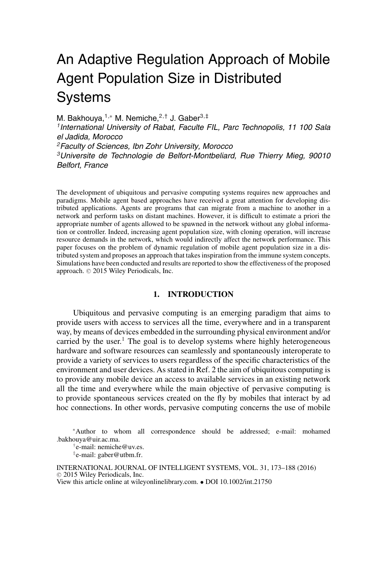# An Adaptive Regulation Approach of Mobile Agent Population Size in Distributed **Systems**

M. Bakhouya,<sup>1,∗</sup> M. Nemiche,<sup>2,†</sup> J. Gaber<sup>3,‡</sup> *1International University of Rabat, Faculte FIL, Parc Technopolis, 11 100 Sala el Jadida, Morocco 2Faculty of Sciences, Ibn Zohr University, Morocco 3Universite de Technologie de Belfort-Montbeliard, Rue Thierry Mieg, 90010 Belfort, France*

The development of ubiquitous and pervasive computing systems requires new approaches and paradigms. Mobile agent based approaches have received a great attention for developing distributed applications. Agents are programs that can migrate from a machine to another in a network and perform tasks on distant machines. However, it is difficult to estimate a priori the appropriate number of agents allowed to be spawned in the network without any global information or controller. Indeed, increasing agent population size, with cloning operation, will increase resource demands in the network, which would indirectly affect the network performance. This paper focuses on the problem of dynamic regulation of mobile agent population size in a distributed system and proposes an approach that takes inspiration from the immune system concepts. Simulations have been conducted and results are reported to show the effectiveness of the proposed approach.  $©$  2015 Wiley Periodicals, Inc.

## **1. INTRODUCTION**

Ubiquitous and pervasive computing is an emerging paradigm that aims to provide users with access to services all the time, everywhere and in a transparent way, by means of devices embedded in the surrounding physical environment and/or carried by the user.<sup>1</sup> The goal is to develop systems where highly heterogeneous hardware and software resources can seamlessly and spontaneously interoperate to provide a variety of services to users regardless of the specific characteristics of the environment and user devices. As stated in Ref. 2 the aim of ubiquitous computing is to provide any mobile device an access to available services in an existing network all the time and everywhere while the main objective of pervasive computing is to provide spontaneous services created on the fly by mobiles that interact by ad hoc connections. In other words, pervasive computing concerns the use of mobile

<sup>∗</sup>Author to whom all correspondence should be addressed; e-mail: mohamed .bakhouya@uir.ac.ma.

†e-mail: nemiche@uv.es.

‡e-mail: gaber@utbm.fr.

INTERNATIONAL JOURNAL OF INTELLIGENT SYSTEMS, VOL. 31, 173–188 (2016)  $©$  2015 Wiley Periodicals, Inc. View this article online at wileyonlinelibrary.com. • DOI 10.1002/int.21750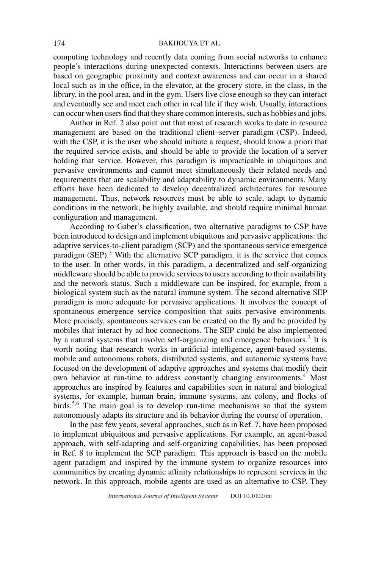#### 174 BAKHOUYA ET AL.

computing technology and recently data coming from social networks to enhance people's interactions during unexpected contexts. Interactions between users are based on geographic proximity and context awareness and can occur in a shared local such as in the office, in the elevator, at the grocery store, in the class, in the library, in the pool area, and in the gym. Users live close enough so they can interact and eventually see and meet each other in real life if they wish. Usually, interactions can occur when users find that they share common interests, such as hobbies and jobs.

Author in Ref. 2 also point out that most of research works to date in resource management are based on the traditional client–server paradigm (CSP). Indeed, with the CSP, it is the user who should initiate a request, should know a priori that the required service exists, and should be able to provide the location of a server holding that service. However, this paradigm is impracticable in ubiquitous and pervasive environments and cannot meet simultaneously their related needs and requirements that are scalability and adaptability to dynamic environments. Many efforts have been dedicated to develop decentralized architectures for resource management. Thus, network resources must be able to scale, adapt to dynamic conditions in the network, be highly available, and should require minimal human configuration and management.

According to Gaber's classification, two alternative paradigms to CSP have been introduced to design and implement ubiquitous and pervasive applications: the adaptive services-to-client paradigm (SCP) and the spontaneous service emergence paradigm  $(SEP)$ .<sup>3</sup> With the alternative SCP paradigm, it is the service that comes to the user. In other words, in this paradigm, a decentralized and self-organizing middleware should be able to provide services to users according to their availability and the network status. Such a middleware can be inspired, for example, from a biological system such as the natural immune system. The second alternative SEP paradigm is more adequate for pervasive applications. It involves the concept of spontaneous emergence service composition that suits pervasive environments. More precisely, spontaneous services can be created on the fly and be provided by mobiles that interact by ad hoc connections. The SEP could be also implemented by a natural systems that involve self-organizing and emergence behaviors.<sup>2</sup> It is worth noting that research works in artificial intelligence, agent-based systems, mobile and autonomous robots, distributed systems, and autonomic systems have focused on the development of adaptive approaches and systems that modify their own behavior at run-time to address constantly changing environments.4 Most approaches are inspired by features and capabilities seen in natural and biological systems, for example, human brain, immune systems, ant colony, and flocks of birds.<sup>5,6</sup> The main goal is to develop run-time mechanisms so that the system autonomously adapts its structure and its behavior during the course of operation.

In the past few years, several approaches, such as in Ref. 7, have been proposed to implement ubiquitous and pervasive applications. For example, an agent-based approach, with self-adapting and self-organizing capabilities, has been proposed in Ref. 8 to implement the SCP paradigm. This approach is based on the mobile agent paradigm and inspired by the immune system to organize resources into communities by creating dynamic affinity relationships to represent services in the network. In this approach, mobile agents are used as an alternative to CSP. They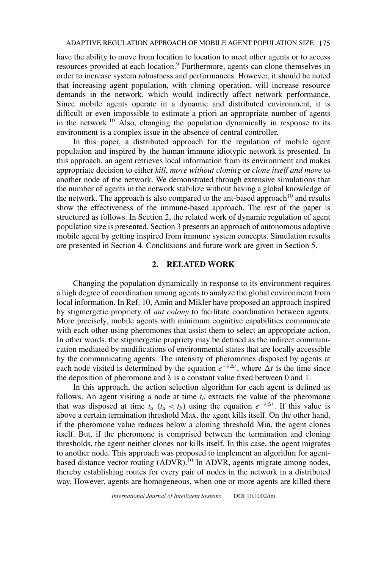have the ability to move from location to location to meet other agents or to access resources provided at each location.<sup>9</sup> Furthermore, agents can clone themselves in order to increase system robustness and performances. However, it should be noted that increasing agent population, with cloning operation, will increase resource demands in the network, which would indirectly affect network performance. Since mobile agents operate in a dynamic and distributed environment, it is difficult or even impossible to estimate a priori an appropriate number of agents in the network.<sup>10</sup> Also, changing the population dynamically in response to its environment is a complex issue in the absence of central controller.

In this paper, a distributed approach for the regulation of mobile agent population and inspired by the human immune idiotypic network is presented. In this approach, an agent retrieves local information from its environment and makes appropriate decision to either *kill*, *move without cloning* or *clone itself and move* to another node of the network. We demonstrated through extensive simulations that the number of agents in the network stabilize without having a global knowledge of the network. The approach is also compared to the ant-based approach<sup>10</sup> and results show the effectiveness of the immune-based approach. The rest of the paper is structured as follows. In Section 2, the related work of dynamic regulation of agent population size is presented. Section 3 presents an approach of autonomous adaptive mobile agent by getting inspired from immune system concepts. Simulation results are presented in Section 4. Conclusions and future work are given in Section 5.

## **2. RELATED WORK**

Changing the population dynamically in response to its environment requires a high degree of coordination among agents to analyze the global environment from local information. In Ref. 10, Amin and Mikler have proposed an approach inspired by stigmergetic propriety of *ant colony* to facilitate coordination between agents. More precisely, mobile agents with minimum cognitive capabilities communicate with each other using pheromones that assist them to select an appropriate action. In other words, the stigmergetic propriety may be defined as the indirect communication mediated by modifications of environmental states that are locally accessible by the communicating agents. The intensity of pheromones disposed by agents at each node visited is determined by the equation  $e^{-\lambda \Delta t}$ , where  $\Delta t$  is the time since the deposition of pheromone and  $\lambda$  is a constant value fixed between 0 and 1.

In this approach, the action selection algorithm for each agent is defined as follows. An agent visiting a node at time  $t<sub>b</sub>$  extracts the value of the pheromone that was disposed at time  $t_a$  ( $t_a < t_b$ ) using the equation  $e^{-\lambda \Delta t}$ . If this value is above a certain termination threshold Max, the agent kills itself. On the other hand, if the pheromone value reduces below a cloning threshold Min, the agent clones itself. But, if the pheromone is comprised between the termination and cloning thresholds, the agent neither clones nor kills itself. In this case, the agent migrates to another node. This approach was proposed to implement an algorithm for agentbased distance vector routing (ADVR).<sup>10</sup> In ADVR, agents migrate among nodes, thereby establishing routes for every pair of nodes in the network in a distributed way. However, agents are homogeneous, when one or more agents are killed there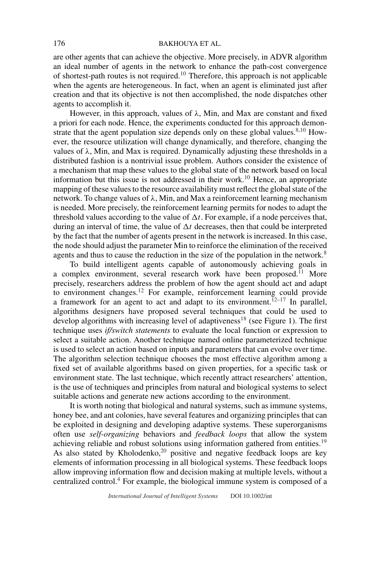are other agents that can achieve the objective. More precisely, in ADVR algorithm an ideal number of agents in the network to enhance the path-cost convergence of shortest-path routes is not required.<sup>10</sup> Therefore, this approach is not applicable when the agents are heterogeneous. In fact, when an agent is eliminated just after creation and that its objective is not then accomplished, the node dispatches other agents to accomplish it.

However, in this approach, values of *λ*, Min, and Max are constant and fixed a priori for each node. Hence, the experiments conducted for this approach demonstrate that the agent population size depends only on these global values. $8,10$  However, the resource utilization will change dynamically, and therefore, changing the values of  $\lambda$ , Min, and Max is required. Dynamically adjusting these thresholds in a distributed fashion is a nontrivial issue problem. Authors consider the existence of a mechanism that map these values to the global state of the network based on local information but this issue is not addressed in their work.<sup>10</sup> Hence, an appropriate mapping of these values to the resource availability must reflect the global state of the network. To change values of *λ*, Min, and Max a reinforcement learning mechanism is needed. More precisely, the reinforcement learning permits for nodes to adapt the threshold values according to the value of  $\Delta t$ . For example, if a node perceives that, during an interval of time, the value of  $\Delta t$  decreases, then that could be interpreted by the fact that the number of agents present in the network is increased. In this case, the node should adjust the parameter Min to reinforce the elimination of the received agents and thus to cause the reduction in the size of the population in the network.<sup>8</sup>

To build intelligent agents capable of autonomously achieving goals in a complex environment, several research work have been proposed.<sup> $1$ </sup> More precisely, researchers address the problem of how the agent should act and adapt to environment changes.<sup>12</sup> For example, reinforcement learning could provide a framework for an agent to act and adapt to its environment.<sup>12–17</sup> In parallel, algorithms designers have proposed several techniques that could be used to develop algorithms with increasing level of adaptiveness<sup>18</sup> (see Figure 1). The first technique uses *if/switch statements* to evaluate the local function or expression to select a suitable action. Another technique named online parameterized technique is used to select an action based on inputs and parameters that can evolve over time. The algorithm selection technique chooses the most effective algorithm among a fixed set of available algorithms based on given properties, for a specific task or environment state. The last technique, which recently attract researchers' attention, is the use of techniques and principles from natural and biological systems to select suitable actions and generate new actions according to the environment.

It is worth noting that biological and natural systems, such as immune systems, honey bee, and ant colonies, have several features and organizing principles that can be exploited in designing and developing adaptive systems. These superorganisms often use *self-organizing* behaviors and *feedback loops* that allow the system achieving reliable and robust solutions using information gathered from entities.<sup>19</sup> As also stated by Kholodenko,<sup>20</sup> positive and negative feedback loops are key elements of information processing in all biological systems. These feedback loops allow improving information flow and decision making at multiple levels, without a centralized control.<sup>4</sup> For example, the biological immune system is composed of a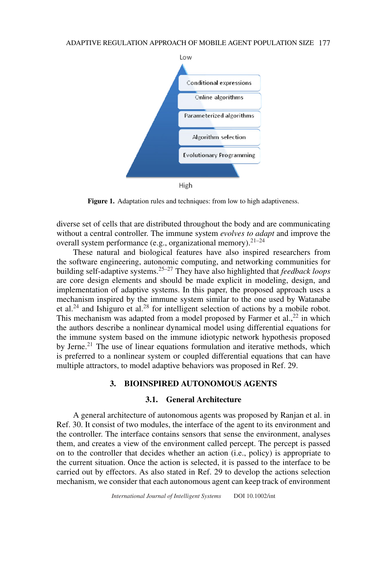

Figure 1. Adaptation rules and techniques: from low to high adaptiveness.

diverse set of cells that are distributed throughout the body and are communicating without a central controller. The immune system *evolves to adapt* and improve the overall system performance (e.g., organizational memory). $21-24$ 

These natural and biological features have also inspired researchers from the software engineering, autonomic computing, and networking communities for building self-adaptive systems.25–27 They have also highlighted that *feedback loops* are core design elements and should be made explicit in modeling, design, and implementation of adaptive systems. In this paper, the proposed approach uses a mechanism inspired by the immune system similar to the one used by Watanabe et al.<sup>24</sup> and Ishiguro et al.<sup>28</sup> for intelligent selection of actions by a mobile robot. This mechanism was adapted from a model proposed by Farmer et al.,  $^{22}$  in which the authors describe a nonlinear dynamical model using differential equations for the immune system based on the immune idiotypic network hypothesis proposed by Jerne.<sup>21</sup> The use of linear equations formulation and iterative methods, which is preferred to a nonlinear system or coupled differential equations that can have multiple attractors, to model adaptive behaviors was proposed in Ref. 29.

## **3. BIOINSPIRED AUTONOMOUS AGENTS**

#### **3.1. General Architecture**

A general architecture of autonomous agents was proposed by Ranjan et al. in Ref. 30. It consist of two modules, the interface of the agent to its environment and the controller. The interface contains sensors that sense the environment, analyses them, and creates a view of the environment called percept. The percept is passed on to the controller that decides whether an action (i.e., policy) is appropriate to the current situation. Once the action is selected, it is passed to the interface to be carried out by effectors. As also stated in Ref. 29 to develop the actions selection mechanism, we consider that each autonomous agent can keep track of environment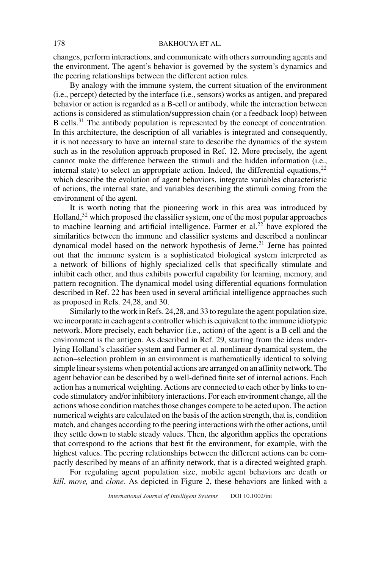changes, perform interactions, and communicate with others surrounding agents and the environment. The agent's behavior is governed by the system's dynamics and the peering relationships between the different action rules.

By analogy with the immune system, the current situation of the environment (i.e., percept) detected by the interface (i.e., sensors) works as antigen, and prepared behavior or action is regarded as a B-cell or antibody, while the interaction between actions is considered as stimulation/suppression chain (or a feedback loop) between B cells.<sup>31</sup> The antibody population is represented by the concept of concentration. In this architecture, the description of all variables is integrated and consequently, it is not necessary to have an internal state to describe the dynamics of the system such as in the resolution approach proposed in Ref. 12. More precisely, the agent cannot make the difference between the stimuli and the hidden information (i.e., internal state) to select an appropriate action. Indeed, the differential equations,  $22$ which describe the evolution of agent behaviors, integrate variables characteristic of actions, the internal state, and variables describing the stimuli coming from the environment of the agent.

It is worth noting that the pioneering work in this area was introduced by Holland,<sup>32</sup> which proposed the classifier system, one of the most popular approaches to machine learning and artificial intelligence. Farmer et al.<sup>22</sup> have explored the similarities between the immune and classifier systems and described a nonlinear dynamical model based on the network hypothesis of Jerne.<sup>21</sup> Jerne has pointed out that the immune system is a sophisticated biological system interpreted as a network of billions of highly specialized cells that specifically stimulate and inhibit each other, and thus exhibits powerful capability for learning, memory, and pattern recognition. The dynamical model using differential equations formulation described in Ref. 22 has been used in several artificial intelligence approaches such as proposed in Refs. 24,28, and 30.

Similarly to the work in Refs. 24,28, and 33 to regulate the agent population size, we incorporate in each agent a controller which is equivalent to the immune idiotypic network. More precisely, each behavior (i.e., action) of the agent is a B cell and the environment is the antigen. As described in Ref. 29, starting from the ideas underlying Holland's classifier system and Farmer et al. nonlinear dynamical system, the action–selection problem in an environment is mathematically identical to solving simple linear systems when potential actions are arranged on an affinity network. The agent behavior can be described by a well-defined finite set of internal actions. Each action has a numerical weighting. Actions are connected to each other by links to encode stimulatory and/or inhibitory interactions. For each environment change, all the actions whose condition matches those changes compete to be acted upon. The action numerical weights are calculated on the basis of the action strength, that is, condition match, and changes according to the peering interactions with the other actions, until they settle down to stable steady values. Then, the algorithm applies the operations that correspond to the actions that best fit the environment, for example, with the highest values. The peering relationships between the different actions can be compactly described by means of an affinity network, that is a directed weighted graph.

For regulating agent population size, mobile agent behaviors are death or *kill*, *move,* and *clone*. As depicted in Figure 2, these behaviors are linked with a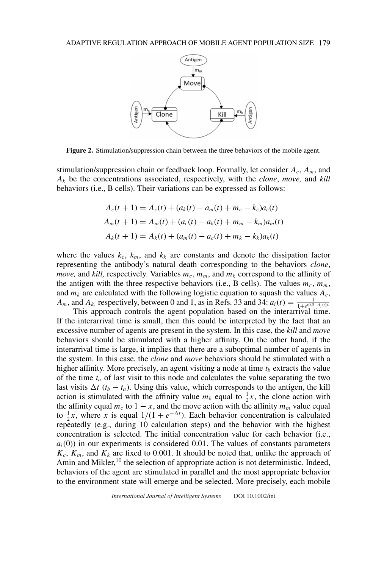

**Figure 2.** Stimulation/suppression chain between the three behaviors of the mobile agent.

stimulation/suppression chain or feedback loop. Formally, let consider *Ac*, *Am*, and *Ak* be the concentrations associated, respectively, with the *clone*, *move,* and *kill* behaviors (i.e., B cells). Their variations can be expressed as follows:

$$
A_c(t + 1) = A_c(t) + (a_k(t) - a_m(t) + m_c - k_c)a_c(t)
$$
  
\n
$$
A_m(t + 1) = A_m(t) + (a_c(t) - a_k(t) + m_m - k_m)a_m(t)
$$
  
\n
$$
A_k(t + 1) = A_k(t) + (a_m(t) - a_c(t) + m_k - k_k)a_k(t)
$$

where the values  $k_c$ ,  $k_m$ , and  $k_k$  are constants and denote the dissipation factor representing the antibody's natural death corresponding to the behaviors *clone*, *move,* and *kill,* respectively. Variables  $m_c$ ,  $m_m$ , and  $m_k$  correspond to the affinity of the antigen with the three respective behaviors (i.e., B cells). The values  $m_c$ ,  $m_m$ , and  $m_k$  are calculated with the following logistic equation to squash the values  $A_c$ , *A<sub>m</sub>*, and *A<sub>k</sub>*, respectively, between 0 and 1, as in Refs. 33 and 34:  $a_i(t) = \frac{1}{1+e^{(0.5-A_i(t))}}$ .

This approach controls the agent population based on the interarrival time. If the interarrival time is small, then this could be interpreted by the fact that an excessive number of agents are present in the system. In this case, the *kill* and *move* behaviors should be stimulated with a higher affinity. On the other hand, if the interarrival time is large, it implies that there are a suboptimal number of agents in the system. In this case, the *clone* and *move* behaviors should be stimulated with a higher affinity. More precisely, an agent visiting a node at time  $t<sub>b</sub>$  extracts the value of the time  $t_a$  of last visit to this node and calculates the value separating the two last visits  $\Delta t$  ( $t_b - t_a$ ). Using this value, which corresponds to the antigen, the kill action is stimulated with the affinity value  $m_k$  equal to  $\frac{1}{2}x$ , the clone action with the affinity equal  $m_c$  to  $1 - x$ , and the move action with the affinity  $m_m$  value equal to  $\frac{1}{2}x$ , where *x* is equal  $1/(1 + e^{-\Delta t})$ . Each behavior concentration is calculated repeatedly (e.g., during 10 calculation steps) and the behavior with the highest concentration is selected. The initial concentration value for each behavior (i.e.,  $a<sub>i</sub>(0)$ ) in our experiments is considered 0.01. The values of constants parameters  $K_c$ ,  $K_m$ , and  $K_k$  are fixed to 0.001. It should be noted that, unlike the approach of Amin and Mikler, $10$  the selection of appropriate action is not deterministic. Indeed, behaviors of the agent are stimulated in parallel and the most appropriate behavior to the environment state will emerge and be selected. More precisely, each mobile

*International Journal of Intelligent Systems* DOI 10.1002/int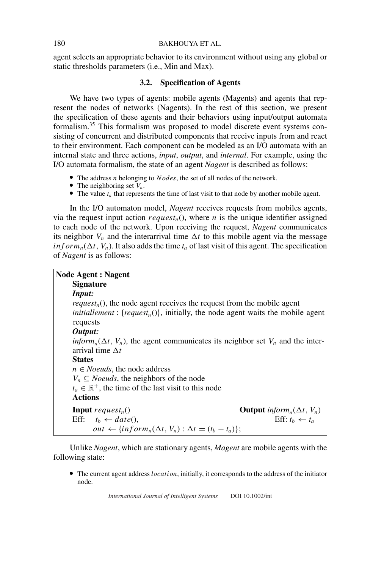agent selects an appropriate behavior to its environment without using any global or static thresholds parameters (i.e., Min and Max).

## **3.2. Specification of Agents**

We have two types of agents: mobile agents (Magents) and agents that represent the nodes of networks (Nagents). In the rest of this section, we present the specification of these agents and their behaviors using input/output automata formalism.<sup>35</sup> This formalism was proposed to model discrete event systems consisting of concurrent and distributed components that receive inputs from and react to their environment. Each component can be modeled as an I/O automata with an internal state and three actions, *input*, *output*, and *internal*. For example, using the I/O automata formalism, the state of an agent *Nagent* is described as follows:

- The address *n* belonging to *Nodes*, the set of all nodes of the network. The neighboring set  $V_n$ .
- 
- The neighboring set  $V_n$ .<br>The value  $t_a$  that represents the time of last visit to that node by another mobile agent.

In the I/O automaton model, *Nagent* receives requests from mobiles agents, via the request input action  $request_n()$ , where *n* is the unique identifier assigned to each node of the network. Upon receiving the request, *Nagent* communicates its neighbor  $V_n$  and the interarrival time  $\Delta t$  to this mobile agent via the message  $inf \space form_n(\Delta t, V_n)$ . It also adds the time  $t_a$  of last visit of this agent. The specification of *Nagent* is as follows:

| <b>Node Agent: Nagent</b>                                                                                                                                                              |
|----------------------------------------------------------------------------------------------------------------------------------------------------------------------------------------|
| <b>Signature</b>                                                                                                                                                                       |
| <i>Input:</i>                                                                                                                                                                          |
| $request_n()$ , the node agent receives the request from the mobile agent<br><i>initiallement</i> : { <i>request<sub>n</sub></i> ()}, initially, the node agent waits the mobile agent |
| requests<br>Output:                                                                                                                                                                    |
| $\lim_{n \to \infty} (\Delta t, V_n)$ , the agent communicates its neighbor set $V_n$ and the inter-<br>arrival time $\Delta t$                                                        |
| <b>States</b>                                                                                                                                                                          |
| $n \in$ <i>Noeuds</i> , the node address                                                                                                                                               |
| $V_n \subseteq$ <i>Noeuds</i> , the neighbors of the node                                                                                                                              |
| $t_a \in \mathbb{R}^+$ , the time of the last visit to this node                                                                                                                       |
| <b>Actions</b>                                                                                                                                                                         |
| <b>Input</b> request <sub>n</sub> ()<br><b>Output</b> inform <sub>n</sub> ( $\Delta t$ , $V_n$ )                                                                                       |
| Eff: $t_h \leftarrow t_a$<br>Eff: $t_h \leftarrow date()$ ,<br>out $\leftarrow \{ \inf \text{orm}_n(\Delta t, V_n) : \Delta t = (t_b - t_a) \};$                                       |

Unlike *Nagent*, which are stationary agents, *Magent* are mobile agents with the following state:

The current agent address *location*, initially, it corresponds to the address of the initiator node.

*International Journal of Intelligent Systems* DOI 10.1002/int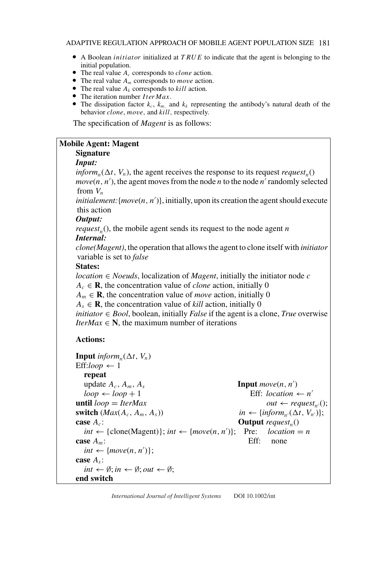- A Boolean *initiator* initialized at *TRUE* to indicate that the agent is belonging to the initial population.<br>• The real value  $A_c$  corresponds to *clone* action.
- 
- The real value  $A_m$  corresponds to *move* action. The real value  $A_m$  corresponds to *move* action.<br>
• The real value  $A_k$  corresponds to *kill* action.
- The real value  $A_k$  corresponds to  $kill$  action.<br>Figure 1 iteration number  $Iter Max$ .
- 
- The iteration number *Iter Max*.<br>The dissipation factor  $k_c$ ,  $k_m$ , and  $k_k$  representing the antibody's natural death of the behavior *clone*, *move,* and *kill,* respectively.

The specification of *Magent* is as follows:

## **Mobile Agent: Magent**

# **Signature**

### *Input:*

*inform<sub>n</sub>*( $\Delta t$ ,  $V_n$ ), the agent receives the response to its request *request<sub>n</sub>*()  $move(n, n')$ , the agent moves from the node *n* to the node  $n'$  randomly selected from *Vn*

*initialement:*{*move*(*n, n* )}, initially, upon its creation the agent should execute this action

### *Output:*

*request<sub>n</sub>*(), the mobile agent sends its request to the node agent *n Internal:*

*clone(Magent)*, the operation that allows the agent to clone itself with *initiator* variable is set to *false*

### **States:**

*location* ∈ *Noeuds*, localization of *Magent*, initially the initiator node *c*

 $A_c \in \mathbf{R}$ , the concentration value of *clone* action, initially 0

 $A_m \in \mathbf{R}$ , the concentration value of *move* action, initially 0

 $A_s \in \mathbf{R}$ , the concentration value of *kill* action, initially 0

*initiator*  $\in$  *Bool*, boolean, initially *False* if the agent is a clone, *True* overwise *IterMax*  $\in$  **N**, the maximum number of iterations

## **Actions:**

```
Input inform<sub>n</sub>(\Delta t, V_n)
Eff:loop \leftarrow 1repeat
   update A_c, A_m, A_sInput move(n, n')loop \leftarrow loop + 1 Eff: location \leftarrow n'until loop = IterMax out ← request<sub>n'</sub>();<br>
switch (Max(A<sub>c</sub>, A<sub>m</sub>, A<sub>s</sub>)) in ← {inform<sub>n'</sub>(\Delta t, V_{n'})};
switch (Max(A_c, A_m, A_s))case A_c: Output request<sub>n</sub></sub>()
   int \leftarrow \{\text{clone}(\text{Magent})\}; int \leftarrow \{move(n, n')\}; Pre: location = n
case A_m: Eff: none
   int \leftarrow \{move(n, n')\};case As:
   int \leftarrow \emptyset; in \leftarrow \emptyset; out \leftarrow \emptyset;end switch
```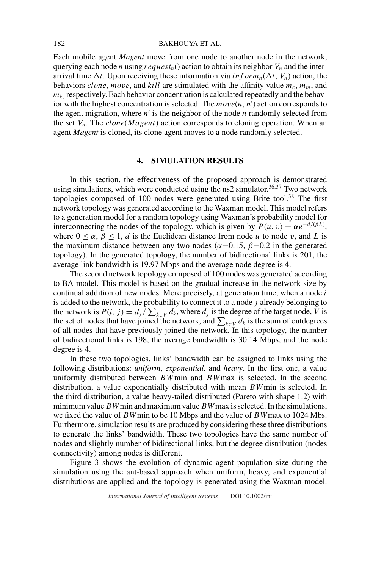#### 182 BAKHOUYA ET AL.

Each mobile agent *Magent* move from one node to another node in the network, querying each node *n* using  $request_n()$  action to obtain its neighbor  $V_n$  and the interarrival time  $\Delta t$ . Upon receiving these information via *inform*<sub>n</sub>( $\Delta t$ ,  $V_n$ ) action, the behaviors *clone*, *move*, and *kill* are stimulated with the affinity value  $m_c$ ,  $m_m$ , and  $m_k$ , respectively. Each behavior concentration is calculated repeatedly and the behavior with the highest concentration is selected. The  $move(n, n')$  action corresponds to the agent migration, where  $n'$  is the neighbor of the node  $n$  randomly selected from the set *Vn*. The *clone*(*Magent*) action corresponds to cloning operation. When an agent *Magent* is cloned, its clone agent moves to a node randomly selected.

# **4. SIMULATION RESULTS**

In this section, the effectiveness of the proposed approach is demonstrated using simulations, which were conducted using the ns2 simulator.<sup>36,37</sup> Two network topologies composed of 100 nodes were generated using Brite tool.<sup>38</sup> The first network topology was generated according to the Waxman model. This model refers to a generation model for a random topology using Waxman's probability model for interconnecting the nodes of the topology, which is given by  $P(u, v) = \alpha e^{-d/(\beta L)}$ , where  $0 \le \alpha$ ,  $\beta \le 1$ , *d* is the Euclidean distance from node *u* to node *v*, and *L* is the maximum distance between any two nodes ( $\alpha$ =0.15,  $\beta$ =0.2 in the generated topology). In the generated topology, the number of bidirectional links is 201, the average link bandwidth is 19.97 Mbps and the average node degree is 4.

The second network topology composed of 100 nodes was generated according to BA model. This model is based on the gradual increase in the network size by continual addition of new nodes. More precisely, at generation time, when a node *i* is added to the network, the probability to connect it to a node *j* already belonging to the network is  $P(i, j) = d_j / \sum_{k \in V} d_k$ , where  $d_j$  is the degree of the target node, *V* is the set of nodes that have joined the network, and  $\sum_{k \in V} d_k$  is the sum of outdegrees of all nodes that have previously joined the network. In this topology, the number of bidirectional links is 198, the average bandwidth is 30.14 Mbps, and the node degree is 4.

In these two topologies, links' bandwidth can be assigned to links using the following distributions: *uniform*, *exponential,* and *heavy*. In the first one, a value uniformly distributed between *BW*min and *BW*max is selected. In the second distribution, a value exponentially distributed with mean *BW*min is selected. In the third distribution, a value heavy-tailed distributed (Pareto with shape 1.2) with minimum value*BW*min and maximum value*BW*max is selected. In the simulations, we fixed the value of *BW*min to be 10 Mbps and the value of *BW*max to 1024 Mbs. Furthermore, simulation results are produced by considering these three distributions to generate the links' bandwidth. These two topologies have the same number of nodes and slightly number of bidirectional links, but the degree distribution (nodes connectivity) among nodes is different.

Figure 3 shows the evolution of dynamic agent population size during the simulation using the ant-based approach when uniform, heavy, and exponential distributions are applied and the topology is generated using the Waxman model.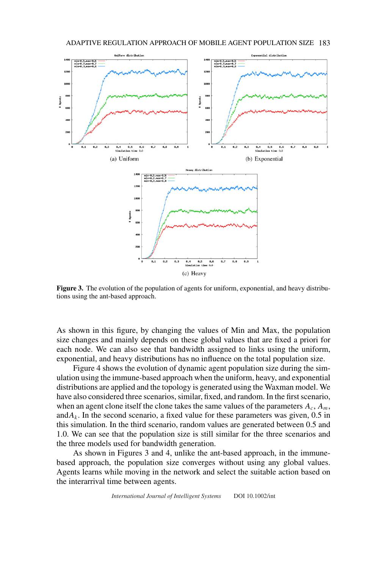

**Figure 3.** The evolution of the population of agents for uniform, exponential, and heavy distributions using the ant-based approach.

As shown in this figure, by changing the values of Min and Max, the population size changes and mainly depends on these global values that are fixed a priori for each node. We can also see that bandwidth assigned to links using the uniform, exponential, and heavy distributions has no influence on the total population size.

Figure 4 shows the evolution of dynamic agent population size during the simulation using the immune-based approach when the uniform, heavy, and exponential distributions are applied and the topology is generated using the Waxman model. We have also considered three scenarios, similar, fixed, and random. In the first scenario, when an agent clone itself the clone takes the same values of the parameters  $A_c$ ,  $A_m$ , and $A_k$ . In the second scenario, a fixed value for these parameters was given, 0.5 in this simulation. In the third scenario, random values are generated between 0.5 and 1.0. We can see that the population size is still similar for the three scenarios and the three models used for bandwidth generation.

As shown in Figures 3 and 4, unlike the ant-based approach, in the immunebased approach, the population size converges without using any global values. Agents learns while moving in the network and select the suitable action based on the interarrival time between agents.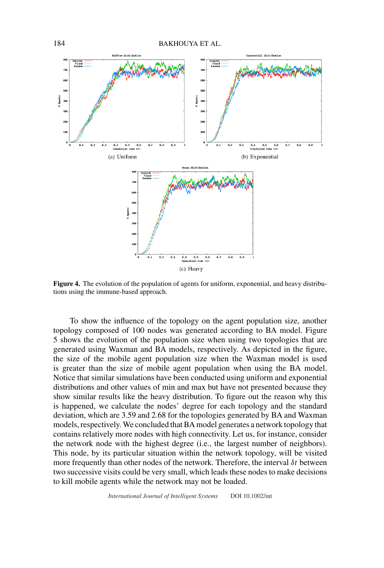

**Figure 4.** The evolution of the population of agents for uniform, exponential, and heavy distributions using the immune-based approach.

To show the influence of the topology on the agent population size, another topology composed of 100 nodes was generated according to BA model. Figure 5 shows the evolution of the population size when using two topologies that are generated using Waxman and BA models, respectively. As depicted in the figure, the size of the mobile agent population size when the Waxman model is used is greater than the size of mobile agent population when using the BA model. Notice that similar simulations have been conducted using uniform and exponential distributions and other values of min and max but have not presented because they show similar results like the heavy distribution. To figure out the reason why this is happened, we calculate the nodes' degree for each topology and the standard deviation, which are 3.59 and 2.68 for the topologies generated by BA and Waxman models, respectively.We concluded that BA model generates a network topology that contains relatively more nodes with high connectivity. Let us, for instance, consider the network node with the highest degree (i.e., the largest number of neighbors). This node, by its particular situation within the network topology, will be visited more frequently than other nodes of the network. Therefore, the interval *δt* between two successive visits could be very small, which leads these nodes to make decisions to kill mobile agents while the network may not be loaded.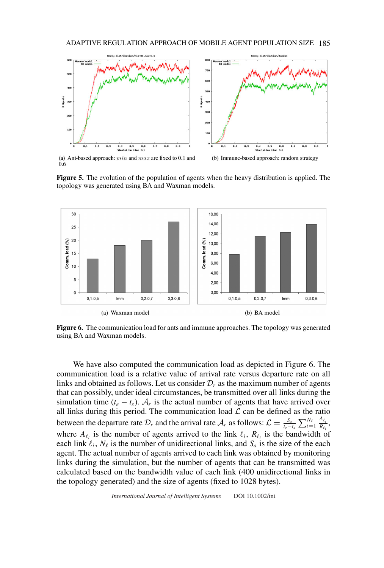

(a) Ant-based approach:  $min$  and  $max$  are fixed to 0.1 and  $0.6$ 

(b) Immune-based approach: random strategy

**Figure 5.** The evolution of the population of agents when the heavy distribution is applied. The topology was generated using BA and Waxman models.



**Figure 6.** The communication load for ants and immune approaches. The topology was generated using BA and Waxman models.

We have also computed the communication load as depicted in Figure 6. The communication load is a relative value of arrival rate versus departure rate on all links and obtained as follows. Let us consider  $\mathcal{D}_r$  as the maximum number of agents that can possibly, under ideal circumstances, be transmitted over all links during the simulation time  $(t_e - t_s)$ .  $A_r$  is the actual number of agents that have arrived over all links during this period. The communication load  $\mathcal L$  can be defined as the ratio between the departure rate  $\mathcal{D}_r$  and the arrival rate  $\mathcal{A}_r$  as follows:  $\mathcal{L} = \frac{S_a}{t_e - t_s} \sum_{i=1}^{N_\ell} \frac{A_{\ell_i}}{R_{\ell_i}}$  $\frac{R_{\ell_i}}{R_{\ell_i}},$ where  $A_{\ell_i}$  is the number of agents arrived to the link  $\ell_i$ ,  $R_{\ell_i}$  is the bandwidth of each link  $\ell_i$ ,  $N_\ell$  is the number of unidirectional links, and  $S_a$  is the size of the each agent. The actual number of agents arrived to each link was obtained by monitoring links during the simulation, but the number of agents that can be transmitted was calculated based on the bandwidth value of each link (400 unidirectional links in the topology generated) and the size of agents (fixed to 1028 bytes).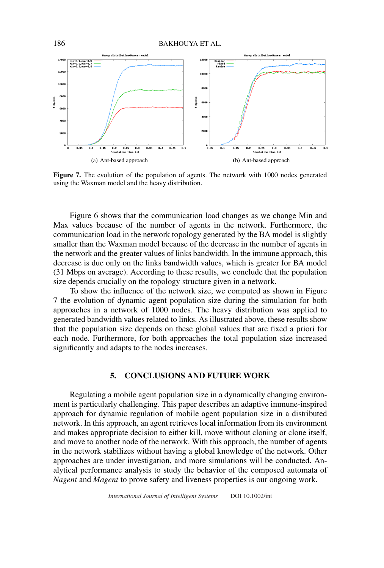

Figure 7. The evolution of the population of agents. The network with 1000 nodes generated using the Waxman model and the heavy distribution.

Figure 6 shows that the communication load changes as we change Min and Max values because of the number of agents in the network. Furthermore, the communication load in the network topology generated by the BA model is slightly smaller than the Waxman model because of the decrease in the number of agents in the network and the greater values of links bandwidth. In the immune approach, this decrease is due only on the links bandwidth values, which is greater for BA model (31 Mbps on average). According to these results, we conclude that the population size depends crucially on the topology structure given in a network.

To show the influence of the network size, we computed as shown in Figure 7 the evolution of dynamic agent population size during the simulation for both approaches in a network of 1000 nodes. The heavy distribution was applied to generated bandwidth values related to links. As illustrated above, these results show that the population size depends on these global values that are fixed a priori for each node. Furthermore, for both approaches the total population size increased significantly and adapts to the nodes increases.

## **5. CONCLUSIONS AND FUTURE WORK**

Regulating a mobile agent population size in a dynamically changing environment is particularly challenging. This paper describes an adaptive immune-inspired approach for dynamic regulation of mobile agent population size in a distributed network. In this approach, an agent retrieves local information from its environment and makes appropriate decision to either kill, move without cloning or clone itself, and move to another node of the network. With this approach, the number of agents in the network stabilizes without having a global knowledge of the network. Other approaches are under investigation, and more simulations will be conducted. Analytical performance analysis to study the behavior of the composed automata of *Nagent* and *Magent* to prove safety and liveness properties is our ongoing work.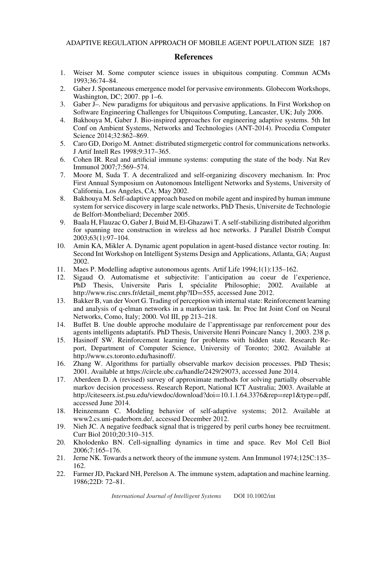### **References**

- 1. Weiser M. Some computer science issues in ubiquitous computing. Commun ACMs 1993;36:74–84.
- 2. Gaber J. Spontaneous emergence model for pervasive environments. Globecom Workshops, Washington, DC; 2007. pp 1–6.
- 3. Gaber J–. New paradigms for ubiquitous and pervasive applications. In First Workshop on Software Engineering Challenges for Ubiquitous Computing, Lancaster, UK; July 2006.
- 4. Bakhouya M, Gaber J. Bio-inspired approaches for engineering adaptive systems. 5th Int Conf on Ambient Systems, Networks and Technologies (ANT-2014). Procedia Computer Science 2014;32:862–869.
- 5. Caro GD, Dorigo M. Antnet: distributed stigmergetic control for communications networks. J Artif Intell Res 1998;9:317–365.
- 6. Cohen IR. Real and artificial immune systems: computing the state of the body. Nat Rev Immunol 2007;7:569–574.
- 7. Moore M, Suda T. A decentralized and self-organizing discovery mechanism. In: Proc First Annual Symposium on Autonomous Intelligent Networks and Systems, University of California, Los Angeles, CA; May 2002.
- 8. Bakhouya M. Self-adaptive approach based on mobile agent and inspired by human immune system for service discovery in large scale networks, PhD Thesis, Universite de Technologie de Belfort-Montbeliard; December 2005.
- 9. Baala H, Flauzac O, Gaber J, Buid M, El-Ghazawi T. A self-stabilizing distributed algorithm for spanning tree construction in wireless ad hoc networks. J Parallel Distrib Comput 2003;63(1):97–104.
- 10. Amin KA, Mikler A. Dynamic agent population in agent-based distance vector routing. In: Second Int Workshop on Intelligent Systems Design and Applications, Atlanta, GA; August 2002.
- 11. Maes P. Modelling adaptive autonomous agents. Artif Life 1994;1(1):135–162.
- 12. Sigaud O. Automatisme et subjectivite: l'anticipation au coeur de l'experience, PhD Thesis, Universite Paris I, spécialite Philosophie; 2002. Available at http://www.risc.cnrs.fr/detail\_memt.php?ID=555, accessed June 2012.
- 13. Bakker B, van der Voort G. Trading of perception with internal state: Reinforcement learning and analysis of q-elman networks in a markovian task. In: Proc Int Joint Conf on Neural Networks, Como, Italy; 2000. Vol III, pp 213–218.
- 14. Buffet B. Une double approche modulaire de l'apprentissage par renforcement pour des agents intelligents adaptatifs. PhD Thesis, Universite Henri Poincare Nancy 1, 2003. 238 p.
- 15. Hasinoff SW. Reinforcement learning for problems with hidden state. Research Report, Department of Computer Science, University of Toronto; 2002. Available at http://www.cs.toronto.edu/hasinoff/.
- 16. Zhang W. Algorithms for partially observable markov decision processes. PhD Thesis; 2001. Available at https://circle.ubc.ca/handle/2429/29073, accessed June 2014.
- 17. Aberdeen D. A (revised) survey of approximate methods for solving partially observable markov decision processess. Research Report, National ICT Australia; 2003. Available at http://citeseerx.ist.psu.edu/viewdoc/download?doi=10.1.1.64.3376&rep=rep1&type=pdf, accessed June 2014.
- 18. Heinzemann C. Modeling behavior of self-adaptive systems; 2012. Available at www2.cs.uni-paderborn.de/, accessed December 2012.
- 19. Nieh JC. A negative feedback signal that is triggered by peril curbs honey bee recruitment. Curr Biol 2010;20:310–315.
- 20. Kholodenko BN. Cell-signalling dynamics in time and space. Rev Mol Cell Biol 2006;7:165–176.
- 21. Jerne NK. Towards a network theory of the immune system. Ann Immunol 1974;125C:135– 162.
- 22. Farmer JD, Packard NH, Perelson A. The immune system, adaptation and machine learning. 1986;22D: 72–81.

*International Journal of Intelligent Systems* DOI 10.1002/int